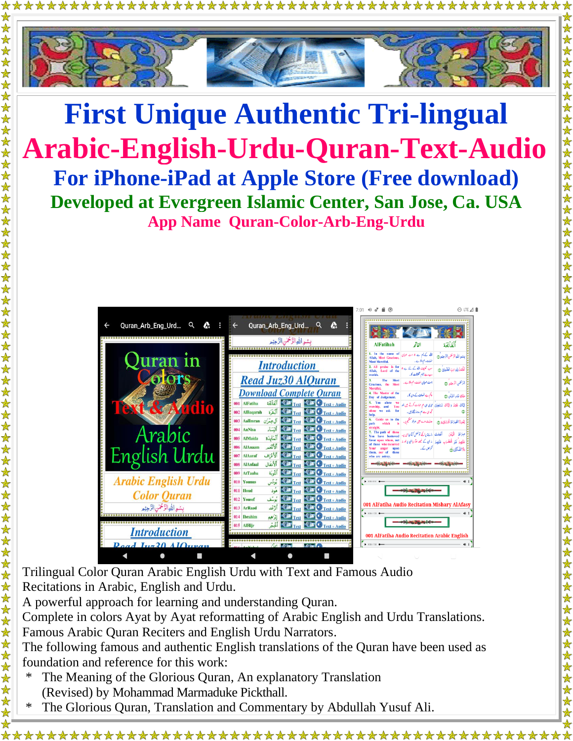

## **First Unique Authentic Tri-lingual Arabic-English-Urdu-Quran-Text-Audio For iPhone-iPad at Apple Store (Free download) Developed at Evergreen Islamic Center, San Jose, Ca. USA App Name Quran-Color-Arb-Eng-Urdu**



Trilingual Color Quran Arabic English Urdu with Text and Famous Audio Recitations in Arabic, English and Urdu.

A powerful approach for learning and understanding Quran.

Complete in colors Ayat by Ayat reformatting of Arabic English and Urdu Translations. Famous Arabic Quran Reciters and English Urdu Narrators.

The following famous and authentic English translations of the Quran have been used as foundation and reference for this work:

- The Meaning of the Glorious Quran, An explanatory Translation (Revised) by Mohammad Marmaduke Pickthall.
- The Glorious Quran, Translation and Commentary by Abdullah Yusuf Ali.